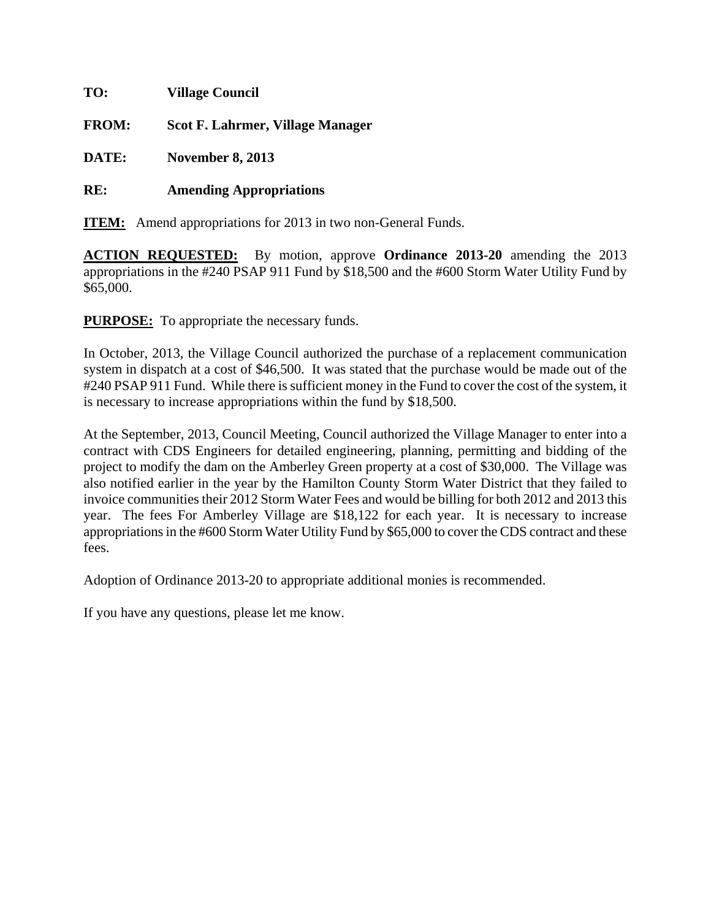| TO:          | <b>Village Council</b>                  |
|--------------|-----------------------------------------|
| <b>FROM:</b> | <b>Scot F. Lahrmer, Village Manager</b> |
| <b>DATE:</b> | <b>November 8, 2013</b>                 |
| RE:          | <b>Amending Appropriations</b>          |

**ITEM:** Amend appropriations for 2013 in two non-General Funds.

**ACTION REQUESTED:** By motion, approve **Ordinance 2013-20** amending the 2013 appropriations in the #240 PSAP 911 Fund by \$18,500 and the #600 Storm Water Utility Fund by \$65,000.

**PURPOSE:** To appropriate the necessary funds.

In October, 2013, the Village Council authorized the purchase of a replacement communication system in dispatch at a cost of \$46,500. It was stated that the purchase would be made out of the #240 PSAP 911 Fund. While there is sufficient money in the Fund to cover the cost of the system, it is necessary to increase appropriations within the fund by \$18,500.

At the September, 2013, Council Meeting, Council authorized the Village Manager to enter into a contract with CDS Engineers for detailed engineering, planning, permitting and bidding of the project to modify the dam on the Amberley Green property at a cost of \$30,000. The Village was also notified earlier in the year by the Hamilton County Storm Water District that they failed to invoice communities their 2012 Storm Water Fees and would be billing for both 2012 and 2013 this year. The fees For Amberley Village are \$18,122 for each year. It is necessary to increase appropriations in the #600 Storm Water Utility Fund by \$65,000 to cover the CDS contract and these fees.

Adoption of Ordinance 2013-20 to appropriate additional monies is recommended.

If you have any questions, please let me know.